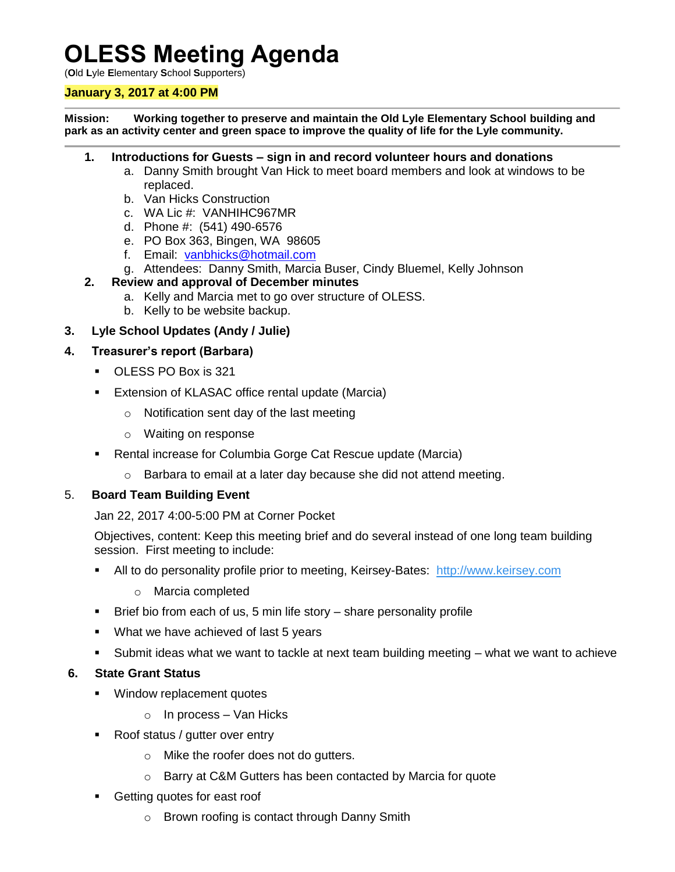# **OLESS Meeting Agenda**

(**O**ld **L**yle **E**lementary **S**chool **S**upporters)

#### **January 3, 2017 at 4:00 PM**

**Mission: Working together to preserve and maintain the Old Lyle Elementary School building and park as an activity center and green space to improve the quality of life for the Lyle community.**

#### **1. Introductions for Guests – sign in and record volunteer hours and donations**

- a. Danny Smith brought Van Hick to meet board members and look at windows to be replaced.
- b. Van Hicks Construction
- c. WA Lic #: VANHIHC967MR
- d. Phone #: (541) 490-6576
- e. PO Box 363, Bingen, WA 98605
- f. Email: [vanbhicks@hotmail.com](mailto:vanbhicks@hotmail.com)
- g. Attendees: Danny Smith, Marcia Buser, Cindy Bluemel, Kelly Johnson

#### **2. Review and approval of December minutes**

- a. Kelly and Marcia met to go over structure of OLESS.
- b. Kelly to be website backup.

# **3. Lyle School Updates (Andy / Julie)**

#### **4. Treasurer's report (Barbara)**

- OLESS PO Box is 321
- **Extension of KLASAC office rental update (Marcia)** 
	- o Notification sent day of the last meeting
	- o Waiting on response
- Rental increase for Columbia Gorge Cat Rescue update (Marcia)
	- o Barbara to email at a later day because she did not attend meeting.

#### 5. **Board Team Building Event**

Jan 22, 2017 4:00-5:00 PM at Corner Pocket

Objectives, content: Keep this meeting brief and do several instead of one long team building session. First meeting to include:

- All to do personality profile prior to meeting, Keirsey-Bates: [http://www.keirsey.com](http://www.keirsey.com/)
	- o Marcia completed
- Brief bio from each of us, 5 min life story share personality profile
- **What we have achieved of last 5 years**
- Submit ideas what we want to tackle at next team building meeting what we want to achieve

# **6. State Grant Status**

- **Window replacement quotes** 
	- $\circ$  In process Van Hicks
- Roof status / gutter over entry
	- o Mike the roofer does not do gutters.
	- o Barry at C&M Gutters has been contacted by Marcia for quote
- Getting quotes for east roof
	- o Brown roofing is contact through Danny Smith